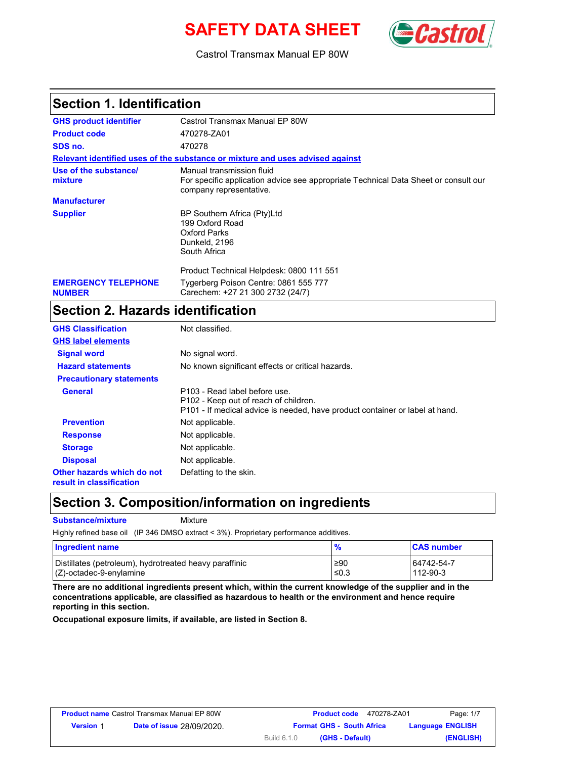# **SAFETY DATA SHEET** *Castro*



Castrol Transmax Manual EP 80W

### **Section 1. Identification**

| <b>GHS product identifier</b>               | Castrol Transmax Manual EP 80W                                                                                                              |
|---------------------------------------------|---------------------------------------------------------------------------------------------------------------------------------------------|
| <b>Product code</b>                         | 470278-ZA01                                                                                                                                 |
| SDS no.                                     | 470278                                                                                                                                      |
|                                             | Relevant identified uses of the substance or mixture and uses advised against                                                               |
| Use of the substance/<br>mixture            | Manual transmission fluid<br>For specific application advice see appropriate Technical Data Sheet or consult our<br>company representative. |
| <b>Manufacturer</b>                         |                                                                                                                                             |
| <b>Supplier</b>                             | BP Southern Africa (Pty)Ltd<br>199 Oxford Road<br>Oxford Parks<br>Dunkeld, 2196<br>South Africa                                             |
|                                             | Product Technical Helpdesk: 0800 111 551                                                                                                    |
| <b>EMERGENCY TELEPHONE</b><br><b>NUMBER</b> | Tygerberg Poison Centre: 0861 555 777<br>Carechem: +27 21 300 2732 (24/7)                                                                   |

### **Section 2. Hazards identification**

| <b>GHS Classification</b>                              | Not classified.                                                                                                                                        |
|--------------------------------------------------------|--------------------------------------------------------------------------------------------------------------------------------------------------------|
| <b>GHS label elements</b>                              |                                                                                                                                                        |
| <b>Signal word</b>                                     | No signal word.                                                                                                                                        |
| <b>Hazard statements</b>                               | No known significant effects or critical hazards.                                                                                                      |
| <b>Precautionary statements</b>                        |                                                                                                                                                        |
| <b>General</b>                                         | P103 - Read label before use.<br>P102 - Keep out of reach of children.<br>P101 - If medical advice is needed, have product container or label at hand. |
| <b>Prevention</b>                                      | Not applicable.                                                                                                                                        |
| <b>Response</b>                                        | Not applicable.                                                                                                                                        |
| <b>Storage</b>                                         | Not applicable.                                                                                                                                        |
| <b>Disposal</b>                                        | Not applicable.                                                                                                                                        |
| Other hazards which do not<br>result in classification | Defatting to the skin.                                                                                                                                 |

### **Section 3. Composition/information on ingredients**

#### **Substance/mixture** Mixture

Highly refined base oil (IP 346 DMSO extract < 3%). Proprietary performance additives.

| Ingredient name                                        |      | <b>CAS number</b> |
|--------------------------------------------------------|------|-------------------|
| Distillates (petroleum), hydrotreated heavy paraffinic | ≥90  | 64742-54-7        |
| $(C)$ -octadec-9-enylamine                             | ≤0.3 | 112-90-3          |

**There are no additional ingredients present which, within the current knowledge of the supplier and in the concentrations applicable, are classified as hazardous to health or the environment and hence require reporting in this section.**

**Occupational exposure limits, if available, are listed in Section 8.**

|                  | <b>Product name Castrol Transmax Manual EP 80W</b> | <b>Product code</b>              | 470278-ZA01     | Page: 1/7               |
|------------------|----------------------------------------------------|----------------------------------|-----------------|-------------------------|
| <b>Version 1</b> | <b>Date of issue 28/09/2020.</b>                   | <b>Format GHS - South Africa</b> |                 | <b>Language ENGLISH</b> |
|                  |                                                    | Build 6.1.0                      | (GHS - Default) | (ENGLISH)               |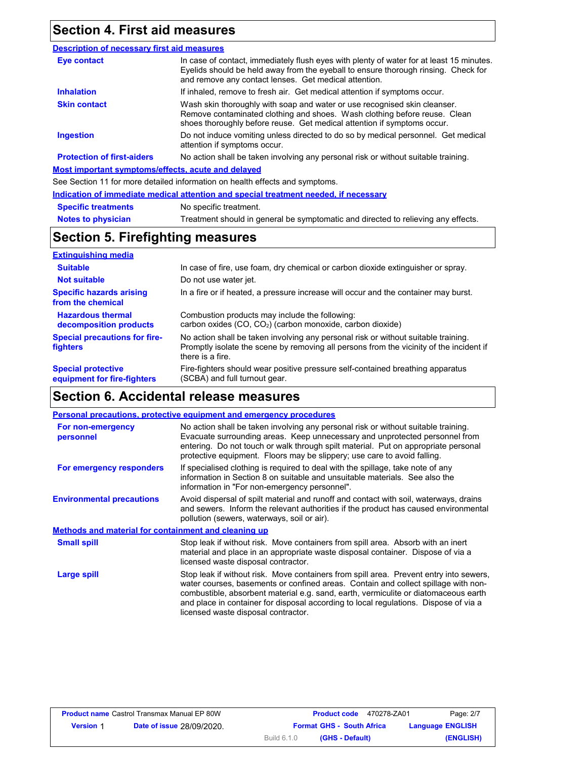### **Section 4. First aid measures**

#### **Eye contact Skin contact Inhalation Ingestion Description of necessary first aid measures Most important symptoms/effects, acute and delayed** See Section 11 for more detailed information on health effects and symptoms. **Protection of first-aiders** If inhaled, remove to fresh air. Get medical attention if symptoms occur. Do not induce vomiting unless directed to do so by medical personnel. Get medical attention if symptoms occur. Wash skin thoroughly with soap and water or use recognised skin cleanser. Remove contaminated clothing and shoes. Wash clothing before reuse. Clean shoes thoroughly before reuse. Get medical attention if symptoms occur. In case of contact, immediately flush eyes with plenty of water for at least 15 minutes. Eyelids should be held away from the eyeball to ensure thorough rinsing. Check for and remove any contact lenses. Get medical attention. No action shall be taken involving any personal risk or without suitable training.

|                            | Indication of immediate medical attention and special treatment needed, if necessary |
|----------------------------|--------------------------------------------------------------------------------------|
| <b>Specific treatments</b> | No specific treatment.                                                               |
| <b>Notes to physician</b>  | Treatment should in general be symptomatic and directed to relieving any effects.    |

### **Section 5. Firefighting measures**

| <b>Extinguishing media</b>                               |                                                                                                                                                                                                   |
|----------------------------------------------------------|---------------------------------------------------------------------------------------------------------------------------------------------------------------------------------------------------|
| <b>Suitable</b>                                          | In case of fire, use foam, dry chemical or carbon dioxide extinguisher or spray.                                                                                                                  |
| <b>Not suitable</b>                                      | Do not use water jet.                                                                                                                                                                             |
| <b>Specific hazards arising</b><br>from the chemical     | In a fire or if heated, a pressure increase will occur and the container may burst.                                                                                                               |
| <b>Hazardous thermal</b><br>decomposition products       | Combustion products may include the following:<br>carbon oxides $(CO, CO2)$ (carbon monoxide, carbon dioxide)                                                                                     |
| <b>Special precautions for fire-</b><br>fighters         | No action shall be taken involving any personal risk or without suitable training.<br>Promptly isolate the scene by removing all persons from the vicinity of the incident if<br>there is a fire. |
| <b>Special protective</b><br>equipment for fire-fighters | Fire-fighters should wear positive pressure self-contained breathing apparatus<br>(SCBA) and full turnout gear.                                                                                   |

### **Section 6. Accidental release measures**

|                                                      | Personal precautions, protective equipment and emergency procedures                                                                                                                                                                                                                                                                                                                                |
|------------------------------------------------------|----------------------------------------------------------------------------------------------------------------------------------------------------------------------------------------------------------------------------------------------------------------------------------------------------------------------------------------------------------------------------------------------------|
| For non-emergency<br>personnel                       | No action shall be taken involving any personal risk or without suitable training.<br>Evacuate surrounding areas. Keep unnecessary and unprotected personnel from<br>entering. Do not touch or walk through spilt material. Put on appropriate personal<br>protective equipment. Floors may be slippery; use care to avoid falling.                                                                |
| For emergency responders                             | If specialised clothing is required to deal with the spillage, take note of any<br>information in Section 8 on suitable and unsuitable materials. See also the<br>information in "For non-emergency personnel".                                                                                                                                                                                    |
| <b>Environmental precautions</b>                     | Avoid dispersal of spilt material and runoff and contact with soil, waterways, drains<br>and sewers. Inform the relevant authorities if the product has caused environmental<br>pollution (sewers, waterways, soil or air).                                                                                                                                                                        |
| Methods and material for containment and cleaning up |                                                                                                                                                                                                                                                                                                                                                                                                    |
| <b>Small spill</b>                                   | Stop leak if without risk. Move containers from spill area. Absorb with an inert<br>material and place in an appropriate waste disposal container. Dispose of via a<br>licensed waste disposal contractor.                                                                                                                                                                                         |
| Large spill                                          | Stop leak if without risk. Move containers from spill area. Prevent entry into sewers,<br>water courses, basements or confined areas. Contain and collect spillage with non-<br>combustible, absorbent material e.g. sand, earth, vermiculite or diatomaceous earth<br>and place in container for disposal according to local regulations. Dispose of via a<br>licensed waste disposal contractor. |

|                  | <b>Product name Castrol Transmax Manual EP 80W</b> | <b>Product code</b>              | 470278-ZA01 | Page: 2/7               |
|------------------|----------------------------------------------------|----------------------------------|-------------|-------------------------|
| <b>Version 1</b> | <b>Date of issue 28/09/2020.</b>                   | <b>Format GHS - South Africa</b> |             | <b>Language ENGLISH</b> |
|                  |                                                    | Build 6.1.0<br>(GHS - Default)   |             | (ENGLISH)               |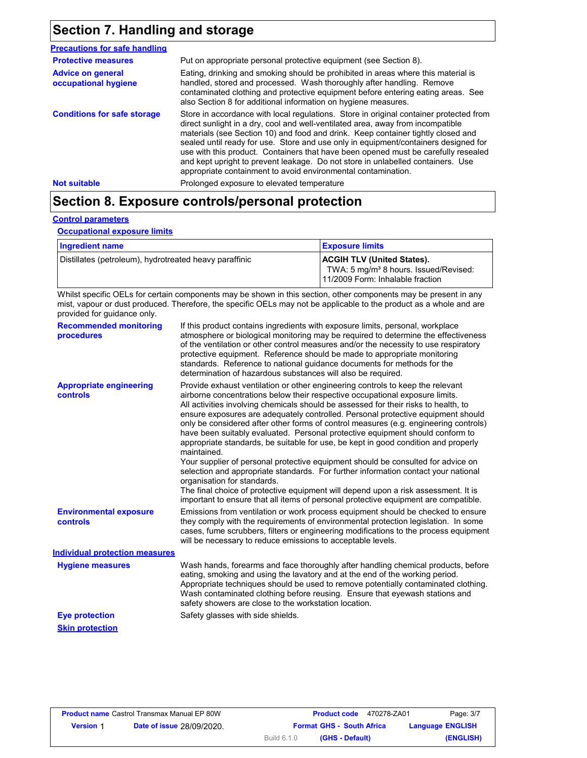## **Section 7. Handling and storage**

| <b>Precautions for safe handling</b>             |                                                                                                                                                                                                                                                                                                                                                                                                                                                                                                                                                                                                |
|--------------------------------------------------|------------------------------------------------------------------------------------------------------------------------------------------------------------------------------------------------------------------------------------------------------------------------------------------------------------------------------------------------------------------------------------------------------------------------------------------------------------------------------------------------------------------------------------------------------------------------------------------------|
| <b>Protective measures</b>                       | Put on appropriate personal protective equipment (see Section 8).                                                                                                                                                                                                                                                                                                                                                                                                                                                                                                                              |
| <b>Advice on general</b><br>occupational hygiene | Eating, drinking and smoking should be prohibited in areas where this material is<br>handled, stored and processed. Wash thoroughly after handling. Remove<br>contaminated clothing and protective equipment before entering eating areas. See<br>also Section 8 for additional information on hygiene measures.                                                                                                                                                                                                                                                                               |
| <b>Conditions for safe storage</b>               | Store in accordance with local regulations. Store in original container protected from<br>direct sunlight in a dry, cool and well-ventilated area, away from incompatible<br>materials (see Section 10) and food and drink. Keep container tightly closed and<br>sealed until ready for use. Store and use only in equipment/containers designed for<br>use with this product. Containers that have been opened must be carefully resealed<br>and kept upright to prevent leakage. Do not store in unlabelled containers. Use<br>appropriate containment to avoid environmental contamination. |
| <b>Not suitable</b>                              | Prolonged exposure to elevated temperature                                                                                                                                                                                                                                                                                                                                                                                                                                                                                                                                                     |

## **Section 8. Exposure controls/personal protection**

### **Control parameters**

**Occupational exposure limits**

| Ingredient name                                        | <b>Exposure limits</b>                                                                                                     |
|--------------------------------------------------------|----------------------------------------------------------------------------------------------------------------------------|
| Distillates (petroleum), hydrotreated heavy paraffinic | <b>ACGIH TLV (United States).</b><br>TWA: 5 mg/m <sup>3</sup> 8 hours. Issued/Revised:<br>11/2009 Form: Inhalable fraction |

Whilst specific OELs for certain components may be shown in this section, other components may be present in any mist, vapour or dust produced. Therefore, the specific OELs may not be applicable to the product as a whole and are provided for guidance only.

| <b>Recommended monitoring</b><br>procedures       | If this product contains ingredients with exposure limits, personal, workplace<br>atmosphere or biological monitoring may be required to determine the effectiveness<br>of the ventilation or other control measures and/or the necessity to use respiratory<br>protective equipment. Reference should be made to appropriate monitoring<br>standards. Reference to national guidance documents for methods for the<br>determination of hazardous substances will also be required.                                                                                                                                                                                                                                                                                                                                                                                                                                                                                                                           |
|---------------------------------------------------|---------------------------------------------------------------------------------------------------------------------------------------------------------------------------------------------------------------------------------------------------------------------------------------------------------------------------------------------------------------------------------------------------------------------------------------------------------------------------------------------------------------------------------------------------------------------------------------------------------------------------------------------------------------------------------------------------------------------------------------------------------------------------------------------------------------------------------------------------------------------------------------------------------------------------------------------------------------------------------------------------------------|
| <b>Appropriate engineering</b><br><b>controls</b> | Provide exhaust ventilation or other engineering controls to keep the relevant<br>airborne concentrations below their respective occupational exposure limits.<br>All activities involving chemicals should be assessed for their risks to health, to<br>ensure exposures are adequately controlled. Personal protective equipment should<br>only be considered after other forms of control measures (e.g. engineering controls)<br>have been suitably evaluated. Personal protective equipment should conform to<br>appropriate standards, be suitable for use, be kept in good condition and properly<br>maintained.<br>Your supplier of personal protective equipment should be consulted for advice on<br>selection and appropriate standards. For further information contact your national<br>organisation for standards.<br>The final choice of protective equipment will depend upon a risk assessment. It is<br>important to ensure that all items of personal protective equipment are compatible. |
| <b>Environmental exposure</b><br>controls         | Emissions from ventilation or work process equipment should be checked to ensure<br>they comply with the requirements of environmental protection legislation. In some<br>cases, fume scrubbers, filters or engineering modifications to the process equipment<br>will be necessary to reduce emissions to acceptable levels.                                                                                                                                                                                                                                                                                                                                                                                                                                                                                                                                                                                                                                                                                 |
| <b>Individual protection measures</b>             |                                                                                                                                                                                                                                                                                                                                                                                                                                                                                                                                                                                                                                                                                                                                                                                                                                                                                                                                                                                                               |
| <b>Hygiene measures</b>                           | Wash hands, forearms and face thoroughly after handling chemical products, before<br>eating, smoking and using the lavatory and at the end of the working period.<br>Appropriate techniques should be used to remove potentially contaminated clothing.<br>Wash contaminated clothing before reusing. Ensure that eyewash stations and<br>safety showers are close to the workstation location.                                                                                                                                                                                                                                                                                                                                                                                                                                                                                                                                                                                                               |
| <b>Eye protection</b>                             | Safety glasses with side shields.                                                                                                                                                                                                                                                                                                                                                                                                                                                                                                                                                                                                                                                                                                                                                                                                                                                                                                                                                                             |
| <b>Skin protection</b>                            |                                                                                                                                                                                                                                                                                                                                                                                                                                                                                                                                                                                                                                                                                                                                                                                                                                                                                                                                                                                                               |

|                  | <b>Product name Castrol Transmax Manual EP 80W</b> |                    | <b>Product code</b>              | 470278-ZA01 | Page: 3/7               |
|------------------|----------------------------------------------------|--------------------|----------------------------------|-------------|-------------------------|
| <b>Version 1</b> | <b>Date of issue 28/09/2020.</b>                   |                    | <b>Format GHS - South Africa</b> |             | <b>Language ENGLISH</b> |
|                  |                                                    | <b>Build 6.1.0</b> | (GHS - Default)                  |             | (ENGLISH)               |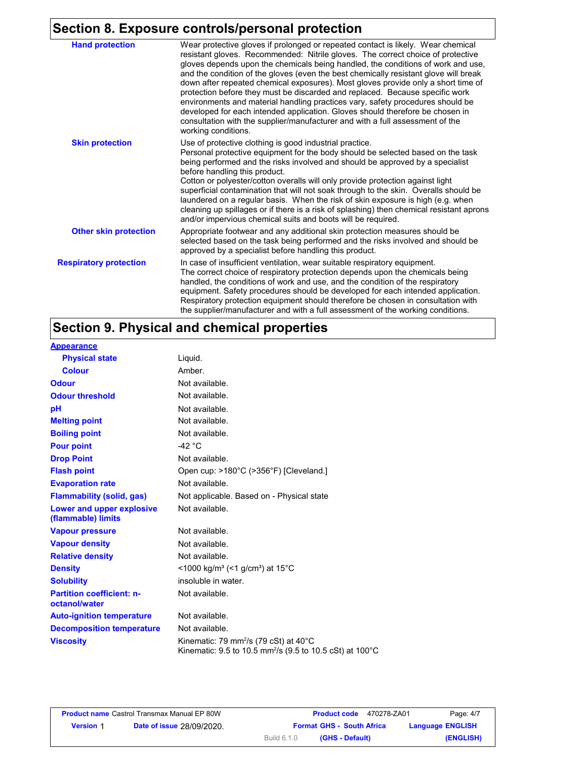## **Section 8. Exposure controls/personal protection**

| <b>Hand protection</b>        | Wear protective gloves if prolonged or repeated contact is likely. Wear chemical<br>resistant gloves. Recommended: Nitrile gloves. The correct choice of protective<br>gloves depends upon the chemicals being handled, the conditions of work and use,<br>and the condition of the gloves (even the best chemically resistant glove will break<br>down after repeated chemical exposures). Most gloves provide only a short time of<br>protection before they must be discarded and replaced. Because specific work<br>environments and material handling practices vary, safety procedures should be<br>developed for each intended application. Gloves should therefore be chosen in<br>consultation with the supplier/manufacturer and with a full assessment of the<br>working conditions. |  |
|-------------------------------|-------------------------------------------------------------------------------------------------------------------------------------------------------------------------------------------------------------------------------------------------------------------------------------------------------------------------------------------------------------------------------------------------------------------------------------------------------------------------------------------------------------------------------------------------------------------------------------------------------------------------------------------------------------------------------------------------------------------------------------------------------------------------------------------------|--|
| <b>Skin protection</b>        | Use of protective clothing is good industrial practice.<br>Personal protective equipment for the body should be selected based on the task<br>being performed and the risks involved and should be approved by a specialist<br>before handling this product.<br>Cotton or polyester/cotton overalls will only provide protection against light<br>superficial contamination that will not soak through to the skin. Overalls should be<br>laundered on a regular basis. When the risk of skin exposure is high (e.g. when<br>cleaning up spillages or if there is a risk of splashing) then chemical resistant aprons<br>and/or impervious chemical suits and boots will be required.                                                                                                           |  |
| <b>Other skin protection</b>  | Appropriate footwear and any additional skin protection measures should be<br>selected based on the task being performed and the risks involved and should be<br>approved by a specialist before handling this product.                                                                                                                                                                                                                                                                                                                                                                                                                                                                                                                                                                         |  |
| <b>Respiratory protection</b> | In case of insufficient ventilation, wear suitable respiratory equipment.<br>The correct choice of respiratory protection depends upon the chemicals being<br>handled, the conditions of work and use, and the condition of the respiratory<br>equipment. Safety procedures should be developed for each intended application.<br>Respiratory protection equipment should therefore be chosen in consultation with<br>the supplier/manufacturer and with a full assessment of the working conditions.                                                                                                                                                                                                                                                                                           |  |

## **Section 9. Physical and chemical properties**

| <b>Appearance</b>                                 |                                                                                                                                     |
|---------------------------------------------------|-------------------------------------------------------------------------------------------------------------------------------------|
| <b>Physical state</b>                             | Liguid.                                                                                                                             |
| <b>Colour</b>                                     | Amber                                                                                                                               |
| <b>Odour</b>                                      | Not available.                                                                                                                      |
| <b>Odour threshold</b>                            | Not available.                                                                                                                      |
| рH                                                | Not available.                                                                                                                      |
| <b>Melting point</b>                              | Not available.                                                                                                                      |
| <b>Boiling point</b>                              | Not available.                                                                                                                      |
| <b>Pour point</b>                                 | -42 $^{\circ}$ C                                                                                                                    |
| <b>Drop Point</b>                                 | Not available.                                                                                                                      |
| <b>Flash point</b>                                | Open cup: >180°C (>356°F) [Cleveland.]                                                                                              |
| <b>Evaporation rate</b>                           | Not available.                                                                                                                      |
| <b>Flammability (solid, gas)</b>                  | Not applicable. Based on - Physical state                                                                                           |
| Lower and upper explosive<br>(flammable) limits   | Not available.                                                                                                                      |
| <b>Vapour pressure</b>                            | Not available.                                                                                                                      |
| <b>Vapour density</b>                             | Not available.                                                                                                                      |
| <b>Relative density</b>                           | Not available.                                                                                                                      |
| <b>Density</b>                                    | <1000 kg/m <sup>3</sup> (<1 g/cm <sup>3</sup> ) at 15 <sup>°</sup> C                                                                |
| <b>Solubility</b>                                 | insoluble in water.                                                                                                                 |
| <b>Partition coefficient: n-</b><br>octanol/water | Not available.                                                                                                                      |
| <b>Auto-ignition temperature</b>                  | Not available.                                                                                                                      |
| <b>Decomposition temperature</b>                  | Not available.                                                                                                                      |
| <b>Viscosity</b>                                  | Kinematic: 79 mm <sup>2</sup> /s (79 cSt) at $40^{\circ}$ C<br>Kinematic: 9.5 to 10.5 mm <sup>2</sup> /s (9.5 to 10.5 cSt) at 100°C |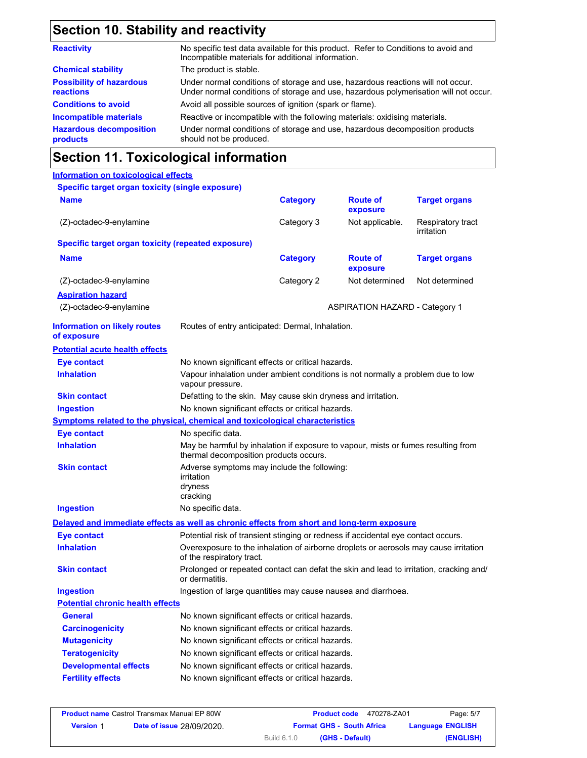# **Section 10. Stability and reactivity**

| No specific test data available for this product. Refer to Conditions to avoid and<br>Incompatible materials for additional information.                                |
|-------------------------------------------------------------------------------------------------------------------------------------------------------------------------|
| The product is stable.                                                                                                                                                  |
| Under normal conditions of storage and use, hazardous reactions will not occur.<br>Under normal conditions of storage and use, hazardous polymerisation will not occur. |
| Avoid all possible sources of ignition (spark or flame).                                                                                                                |
| Reactive or incompatible with the following materials: oxidising materials.                                                                                             |
| Under normal conditions of storage and use, hazardous decomposition products<br>should not be produced.                                                                 |
|                                                                                                                                                                         |

## **Section 11. Toxicological information**

### **Information on toxicological effects**

| Specific target organ toxicity (single exposure)                                           |                                                                                                                             |                 |                                       |                                 |
|--------------------------------------------------------------------------------------------|-----------------------------------------------------------------------------------------------------------------------------|-----------------|---------------------------------------|---------------------------------|
| <b>Name</b>                                                                                |                                                                                                                             | <b>Category</b> | <b>Route of</b><br>exposure           | <b>Target organs</b>            |
| (Z)-octadec-9-enylamine                                                                    |                                                                                                                             | Category 3      | Not applicable.                       | Respiratory tract<br>irritation |
| <b>Specific target organ toxicity (repeated exposure)</b>                                  |                                                                                                                             |                 |                                       |                                 |
| <b>Name</b>                                                                                |                                                                                                                             | <b>Category</b> | <b>Route of</b><br>exposure           | <b>Target organs</b>            |
| (Z)-octadec-9-enylamine                                                                    |                                                                                                                             | Category 2      | Not determined                        | Not determined                  |
| <b>Aspiration hazard</b><br>(Z)-octadec-9-enylamine                                        |                                                                                                                             |                 | <b>ASPIRATION HAZARD - Category 1</b> |                                 |
| <b>Information on likely routes</b><br>of exposure                                         | Routes of entry anticipated: Dermal, Inhalation.                                                                            |                 |                                       |                                 |
| <b>Potential acute health effects</b>                                                      |                                                                                                                             |                 |                                       |                                 |
| <b>Eye contact</b>                                                                         | No known significant effects or critical hazards.                                                                           |                 |                                       |                                 |
| <b>Inhalation</b>                                                                          | Vapour inhalation under ambient conditions is not normally a problem due to low<br>vapour pressure.                         |                 |                                       |                                 |
| <b>Skin contact</b>                                                                        | Defatting to the skin. May cause skin dryness and irritation.                                                               |                 |                                       |                                 |
| <b>Ingestion</b>                                                                           | No known significant effects or critical hazards.                                                                           |                 |                                       |                                 |
| <u>Symptoms related to the physical, chemical and toxicological characteristics</u>        |                                                                                                                             |                 |                                       |                                 |
| <b>Eye contact</b>                                                                         | No specific data.                                                                                                           |                 |                                       |                                 |
| <b>Inhalation</b>                                                                          | May be harmful by inhalation if exposure to vapour, mists or fumes resulting from<br>thermal decomposition products occurs. |                 |                                       |                                 |
| <b>Skin contact</b>                                                                        | Adverse symptoms may include the following:<br>irritation<br>dryness<br>cracking                                            |                 |                                       |                                 |
| <b>Ingestion</b>                                                                           | No specific data.                                                                                                           |                 |                                       |                                 |
| Delayed and immediate effects as well as chronic effects from short and long-term exposure |                                                                                                                             |                 |                                       |                                 |
| <b>Eye contact</b>                                                                         | Potential risk of transient stinging or redness if accidental eye contact occurs.                                           |                 |                                       |                                 |
| <b>Inhalation</b>                                                                          | Overexposure to the inhalation of airborne droplets or aerosols may cause irritation<br>of the respiratory tract.           |                 |                                       |                                 |
| <b>Skin contact</b>                                                                        | Prolonged or repeated contact can defat the skin and lead to irritation, cracking and/<br>or dermatitis.                    |                 |                                       |                                 |
| <b>Ingestion</b>                                                                           | Ingestion of large quantities may cause nausea and diarrhoea.                                                               |                 |                                       |                                 |
| <b>Potential chronic health effects</b>                                                    |                                                                                                                             |                 |                                       |                                 |
| <b>General</b>                                                                             | No known significant effects or critical hazards.                                                                           |                 |                                       |                                 |
| <b>Carcinogenicity</b>                                                                     | No known significant effects or critical hazards.                                                                           |                 |                                       |                                 |
| <b>Mutagenicity</b>                                                                        | No known significant effects or critical hazards.                                                                           |                 |                                       |                                 |
| <b>Teratogenicity</b>                                                                      | No known significant effects or critical hazards.                                                                           |                 |                                       |                                 |
| <b>Developmental effects</b>                                                               | No known significant effects or critical hazards.                                                                           |                 |                                       |                                 |
| <b>Fertility effects</b>                                                                   | No known significant effects or critical hazards.                                                                           |                 |                                       |                                 |

|                  | <b>Product name</b> Castrol Transmax Manual EP 80W | 470278-ZA01<br><b>Product code</b> | Page: 5/7               |
|------------------|----------------------------------------------------|------------------------------------|-------------------------|
| <b>Version 1</b> | <b>Date of issue 28/09/2020.</b>                   | <b>Format GHS - South Africa</b>   | <b>Language ENGLISH</b> |
|                  |                                                    | Build 6.1.0<br>(GHS - Default)     | (ENGLISH)               |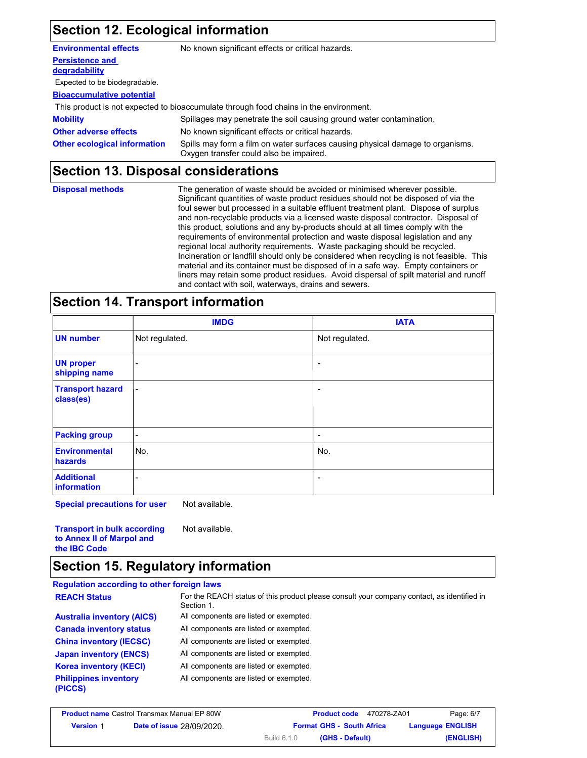### **Section 12. Ecological information**

| <b>Environmental effects</b>        | No known significant effects or critical hazards.                                                                         |
|-------------------------------------|---------------------------------------------------------------------------------------------------------------------------|
| <b>Persistence and</b>              |                                                                                                                           |
| degradability                       |                                                                                                                           |
| Expected to be biodegradable.       |                                                                                                                           |
| <b>Bioaccumulative potential</b>    |                                                                                                                           |
|                                     | This product is not expected to bioaccumulate through food chains in the environment.                                     |
| <b>Mobility</b>                     | Spillages may penetrate the soil causing ground water contamination.                                                      |
| <b>Other adverse effects</b>        | No known significant effects or critical hazards.                                                                         |
| <b>Other ecological information</b> | Spills may form a film on water surfaces causing physical damage to organisms.<br>Oxygen transfer could also be impaired. |

### **Section 13. Disposal considerations**

| <b>Disposal methods</b> | The generation of waste should be avoided or minimised wherever possible.<br>Significant quantities of waste product residues should not be disposed of via the<br>foul sewer but processed in a suitable effluent treatment plant. Dispose of surplus<br>and non-recyclable products via a licensed waste disposal contractor. Disposal of<br>this product, solutions and any by-products should at all times comply with the<br>requirements of environmental protection and waste disposal legislation and any<br>regional local authority requirements. Waste packaging should be recycled.<br>Incineration or landfill should only be considered when recycling is not feasible. This<br>material and its container must be disposed of in a safe way. Empty containers or |
|-------------------------|---------------------------------------------------------------------------------------------------------------------------------------------------------------------------------------------------------------------------------------------------------------------------------------------------------------------------------------------------------------------------------------------------------------------------------------------------------------------------------------------------------------------------------------------------------------------------------------------------------------------------------------------------------------------------------------------------------------------------------------------------------------------------------|
|                         | liners may retain some product residues. Avoid dispersal of spilt material and runoff<br>and contact with soil, waterways, drains and sewers.                                                                                                                                                                                                                                                                                                                                                                                                                                                                                                                                                                                                                                   |

### **Section 14. Transport information**

|                                      | <b>IMDG</b>              | <b>IATA</b>              |
|--------------------------------------|--------------------------|--------------------------|
| <b>UN number</b>                     | Not regulated.           | Not regulated.           |
| <b>UN proper</b><br>shipping name    | -                        | $\overline{\phantom{a}}$ |
| <b>Transport hazard</b><br>class(es) | $\blacksquare$           | $\overline{\phantom{a}}$ |
| <b>Packing group</b>                 | $\overline{\phantom{a}}$ | $\overline{\phantom{0}}$ |
| <b>Environmental</b><br>hazards      | No.                      | No.                      |
| <b>Additional</b><br>information     | ۰                        | $\overline{\phantom{a}}$ |

**Special precautions for user** Not available.

**Transport in bulk according to Annex II of Marpol and the IBC Code** Not available.

### **Section 15. Regulatory information**

#### **Regulation according to other foreign laws** All components are listed or exempted. All components are listed or exempted. All components are listed or exempted. All components are listed or exempted. All components are listed or exempted. **Philippines inventory** All components are listed or exempted. **(PICCS) China inventory (IECSC) Canada inventory status Australia inventory (AICS) Korea inventory (KECI) Japan inventory (ENCS) REACH Status** For the REACH status of this product please consult your company contact, as identified in Section 1.

|                  | <b>Product name Castrol Transmax Manual EP 80W</b> | 470278-ZA01<br><b>Product code</b> | Page: 6/7               |
|------------------|----------------------------------------------------|------------------------------------|-------------------------|
| <b>Version 1</b> | <b>Date of issue 28/09/2020.</b>                   | <b>Format GHS - South Africa</b>   | <b>Language ENGLISH</b> |
|                  |                                                    | Build 6.1.0<br>(GHS - Default)     | (ENGLISH)               |